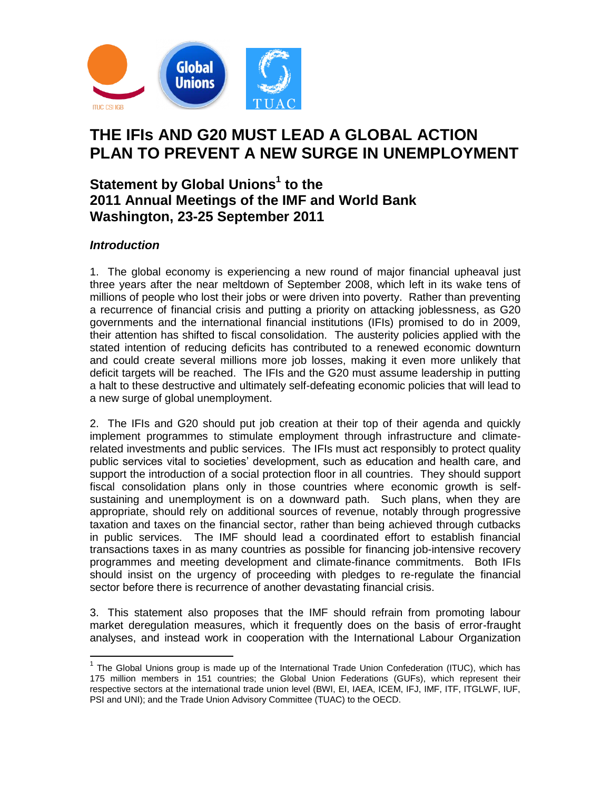

# **THE IFIs AND G20 MUST LEAD A GLOBAL ACTION PLAN TO PREVENT A NEW SURGE IN UNEMPLOYMENT**

## **Statement by Global Unions<sup>1</sup> to the 2011 Annual Meetings of the IMF and World Bank Washington, 23-25 September 2011**

### *Introduction*

 $\overline{a}$ 

1. The global economy is experiencing a new round of major financial upheaval just three years after the near meltdown of September 2008, which left in its wake tens of millions of people who lost their jobs or were driven into poverty. Rather than preventing a recurrence of financial crisis and putting a priority on attacking joblessness, as G20 governments and the international financial institutions (IFIs) promised to do in 2009, their attention has shifted to fiscal consolidation. The austerity policies applied with the stated intention of reducing deficits has contributed to a renewed economic downturn and could create several millions more job losses, making it even more unlikely that deficit targets will be reached. The IFIs and the G20 must assume leadership in putting a halt to these destructive and ultimately self-defeating economic policies that will lead to a new surge of global unemployment.

2. The IFIs and G20 should put job creation at their top of their agenda and quickly implement programmes to stimulate employment through infrastructure and climaterelated investments and public services. The IFIs must act responsibly to protect quality public services vital to societies' development, such as education and health care, and support the introduction of a social protection floor in all countries. They should support fiscal consolidation plans only in those countries where economic growth is selfsustaining and unemployment is on a downward path. Such plans, when they are appropriate, should rely on additional sources of revenue, notably through progressive taxation and taxes on the financial sector, rather than being achieved through cutbacks in public services. The IMF should lead a coordinated effort to establish financial transactions taxes in as many countries as possible for financing job-intensive recovery programmes and meeting development and climate-finance commitments. Both IFIs should insist on the urgency of proceeding with pledges to re-regulate the financial sector before there is recurrence of another devastating financial crisis.

3. This statement also proposes that the IMF should refrain from promoting labour market deregulation measures, which it frequently does on the basis of error-fraught analyses, and instead work in cooperation with the International Labour Organization

 $1$  The Global Unions group is made up of the International Trade Union Confederation (ITUC), which has 175 million members in 151 countries; the Global Union Federations (GUFs), which represent their respective sectors at the international trade union level (BWI, EI, IAEA, ICEM, IFJ, IMF, ITF, ITGLWF, IUF, PSI and UNI); and the Trade Union Advisory Committee (TUAC) to the OECD.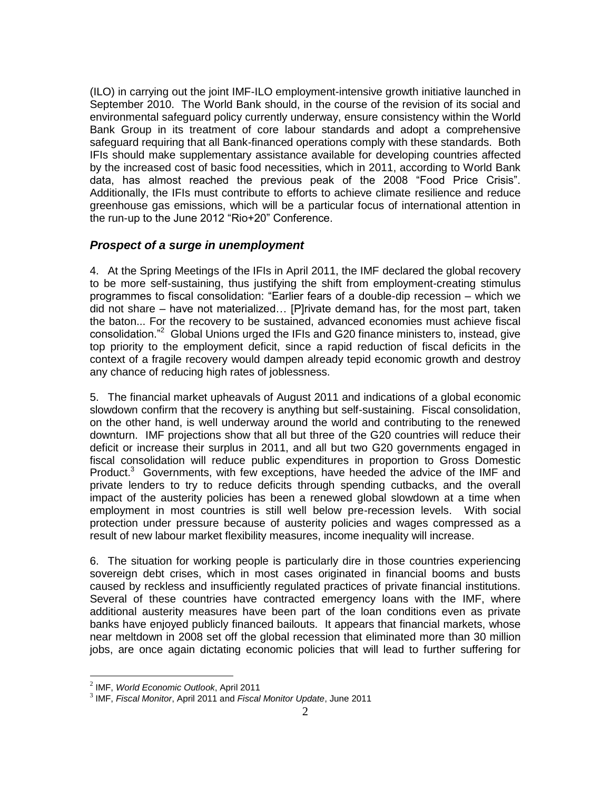(ILO) in carrying out the joint IMF-ILO employment-intensive growth initiative launched in September 2010. The World Bank should, in the course of the revision of its social and environmental safeguard policy currently underway, ensure consistency within the World Bank Group in its treatment of core labour standards and adopt a comprehensive safeguard requiring that all Bank-financed operations comply with these standards. Both IFIs should make supplementary assistance available for developing countries affected by the increased cost of basic food necessities, which in 2011, according to World Bank data, has almost reached the previous peak of the 2008 "Food Price Crisis". Additionally, the IFIs must contribute to efforts to achieve climate resilience and reduce greenhouse gas emissions, which will be a particular focus of international attention in the run-up to the June 2012 "Rio+20" Conference.

#### *Prospect of a surge in unemployment*

4. At the Spring Meetings of the IFIs in April 2011, the IMF declared the global recovery to be more self-sustaining, thus justifying the shift from employment-creating stimulus programmes to fiscal consolidation: "Earlier fears of a double-dip recession – which we did not share – have not materialized… [P]rivate demand has, for the most part, taken the baton... For the recovery to be sustained, advanced economies must achieve fiscal consolidation."<sup>2</sup> Global Unions urged the IFIs and G20 finance ministers to, instead, give top priority to the employment deficit, since a rapid reduction of fiscal deficits in the context of a fragile recovery would dampen already tepid economic growth and destroy any chance of reducing high rates of joblessness.

5. The financial market upheavals of August 2011 and indications of a global economic slowdown confirm that the recovery is anything but self-sustaining. Fiscal consolidation, on the other hand, is well underway around the world and contributing to the renewed downturn. IMF projections show that all but three of the G20 countries will reduce their deficit or increase their surplus in 2011, and all but two G20 governments engaged in fiscal consolidation will reduce public expenditures in proportion to Gross Domestic Product. $3$  Governments, with few exceptions, have heeded the advice of the IMF and private lenders to try to reduce deficits through spending cutbacks, and the overall impact of the austerity policies has been a renewed global slowdown at a time when employment in most countries is still well below pre-recession levels. With social protection under pressure because of austerity policies and wages compressed as a result of new labour market flexibility measures, income inequality will increase.

6. The situation for working people is particularly dire in those countries experiencing sovereign debt crises, which in most cases originated in financial booms and busts caused by reckless and insufficiently regulated practices of private financial institutions. Several of these countries have contracted emergency loans with the IMF, where additional austerity measures have been part of the loan conditions even as private banks have enjoyed publicly financed bailouts. It appears that financial markets, whose near meltdown in 2008 set off the global recession that eliminated more than 30 million jobs, are once again dictating economic policies that will lead to further suffering for

<sup>2</sup> IMF, *World Economic Outlook*, April 2011

<sup>3</sup> IMF, *Fiscal Monitor*, April 2011 and *Fiscal Monitor Update*, June 2011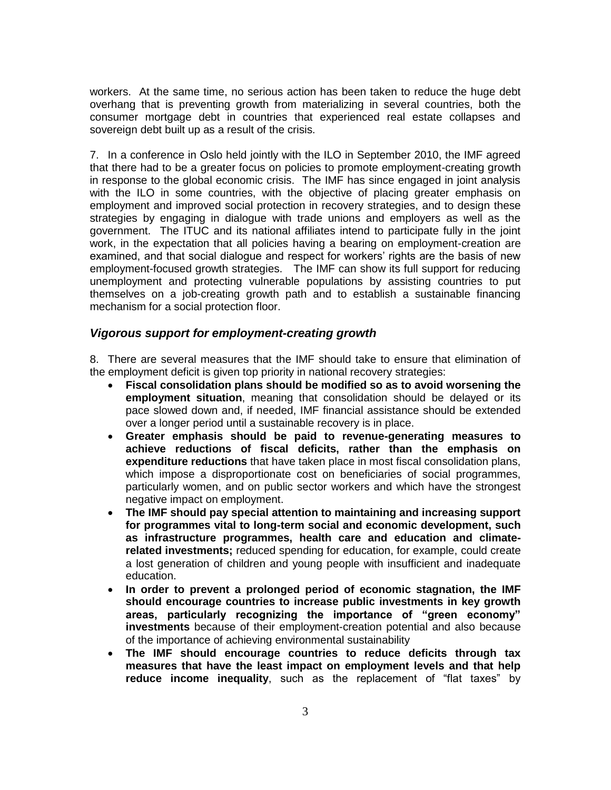workers. At the same time, no serious action has been taken to reduce the huge debt overhang that is preventing growth from materializing in several countries, both the consumer mortgage debt in countries that experienced real estate collapses and sovereign debt built up as a result of the crisis.

7. In a conference in Oslo held jointly with the ILO in September 2010, the IMF agreed that there had to be a greater focus on policies to promote employment-creating growth in response to the global economic crisis. The IMF has since engaged in joint analysis with the ILO in some countries, with the objective of placing greater emphasis on employment and improved social protection in recovery strategies, and to design these strategies by engaging in dialogue with trade unions and employers as well as the government. The ITUC and its national affiliates intend to participate fully in the joint work, in the expectation that all policies having a bearing on employment-creation are examined, and that social dialogue and respect for workers' rights are the basis of new employment-focused growth strategies. The IMF can show its full support for reducing unemployment and protecting vulnerable populations by assisting countries to put themselves on a job-creating growth path and to establish a sustainable financing mechanism for a social protection floor.

#### *Vigorous support for employment-creating growth*

8. There are several measures that the IMF should take to ensure that elimination of the employment deficit is given top priority in national recovery strategies:

- **Fiscal consolidation plans should be modified so as to avoid worsening the employment situation**, meaning that consolidation should be delayed or its pace slowed down and, if needed, IMF financial assistance should be extended over a longer period until a sustainable recovery is in place.
- **Greater emphasis should be paid to revenue-generating measures to achieve reductions of fiscal deficits, rather than the emphasis on expenditure reductions** that have taken place in most fiscal consolidation plans, which impose a disproportionate cost on beneficiaries of social programmes, particularly women, and on public sector workers and which have the strongest negative impact on employment.
- **The IMF should pay special attention to maintaining and increasing support for programmes vital to long-term social and economic development, such as infrastructure programmes, health care and education and climaterelated investments;** reduced spending for education, for example, could create a lost generation of children and young people with insufficient and inadequate education.
- **In order to prevent a prolonged period of economic stagnation, the IMF should encourage countries to increase public investments in key growth areas, particularly recognizing the importance of "green economy" investments** because of their employment-creation potential and also because of the importance of achieving environmental sustainability
- **The IMF should encourage countries to reduce deficits through tax measures that have the least impact on employment levels and that help reduce income inequality**, such as the replacement of "flat taxes" by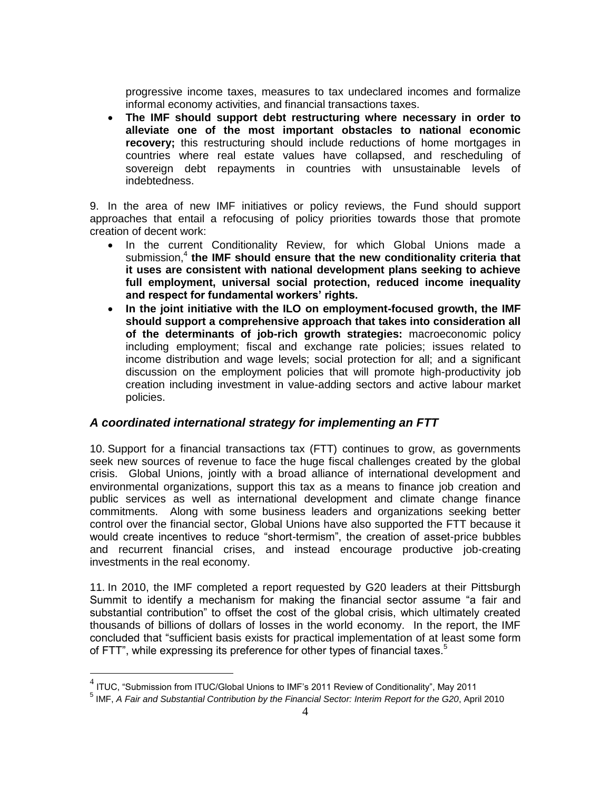progressive income taxes, measures to tax undeclared incomes and formalize informal economy activities, and financial transactions taxes.

 **The IMF should support debt restructuring where necessary in order to alleviate one of the most important obstacles to national economic recovery**; this restructuring should include reductions of home mortgages in countries where real estate values have collapsed, and rescheduling of sovereign debt repayments in countries with unsustainable levels of indebtedness.

9. In the area of new IMF initiatives or policy reviews, the Fund should support approaches that entail a refocusing of policy priorities towards those that promote creation of decent work:

- In the current Conditionality Review, for which Global Unions made a submission,<sup>4</sup> the IMF should ensure that the new conditionality criteria that **it uses are consistent with national development plans seeking to achieve full employment, universal social protection, reduced income inequality and respect for fundamental workers' rights.**
- **In the joint initiative with the ILO on employment-focused growth, the IMF should support a comprehensive approach that takes into consideration all of the determinants of job-rich growth strategies:** macroeconomic policy including employment; fiscal and exchange rate policies; issues related to income distribution and wage levels; social protection for all; and a significant discussion on the employment policies that will promote high-productivity job creation including investment in value-adding sectors and active labour market policies.

#### *A coordinated international strategy for implementing an FTT*

10. Support for a financial transactions tax (FTT) continues to grow, as governments seek new sources of revenue to face the huge fiscal challenges created by the global crisis. Global Unions, jointly with a broad alliance of international development and environmental organizations, support this tax as a means to finance job creation and public services as well as international development and climate change finance commitments. Along with some business leaders and organizations seeking better control over the financial sector, Global Unions have also supported the FTT because it would create incentives to reduce "short-termism", the creation of asset-price bubbles and recurrent financial crises, and instead encourage productive job-creating investments in the real economy.

11. In 2010, the IMF completed a report requested by G20 leaders at their Pittsburgh Summit to identify a mechanism for making the financial sector assume "a fair and substantial contribution" to offset the cost of the global crisis, which ultimately created thousands of billions of dollars of losses in the world economy. In the report, the IMF concluded that "sufficient basis exists for practical implementation of at least some form of FTT", while expressing its preference for other types of financial taxes.<sup>5</sup>

 $^4$  ITUC, "Submission from ITUC/Global Unions to IMF's 2011 Review of Conditionality", May 2011

<sup>5</sup> IMF, *A Fair and Substantial Contribution by the Financial Sector: Interim Report for the G20*, April 2010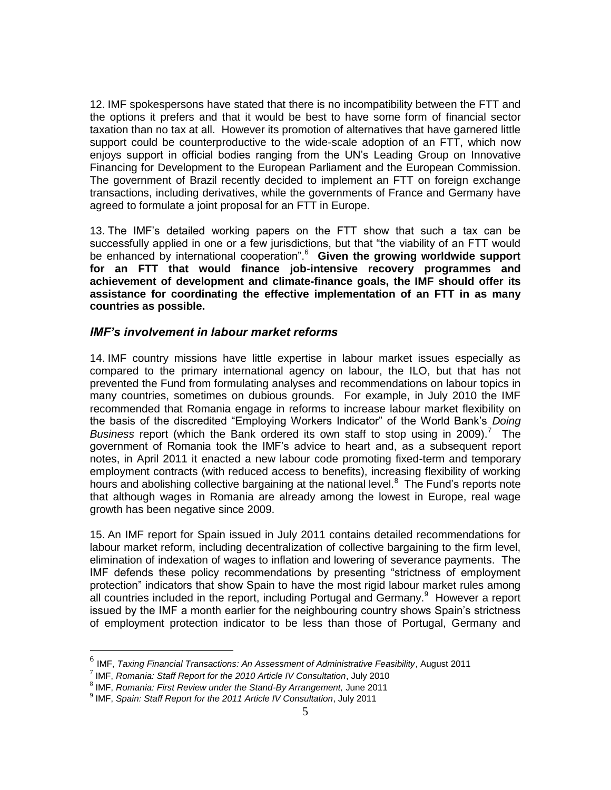12. IMF spokespersons have stated that there is no incompatibility between the FTT and the options it prefers and that it would be best to have some form of financial sector taxation than no tax at all. However its promotion of alternatives that have garnered little support could be counterproductive to the wide-scale adoption of an FTT, which now enjoys support in official bodies ranging from the UN's Leading Group on Innovative Financing for Development to the European Parliament and the European Commission. The government of Brazil recently decided to implement an FTT on foreign exchange transactions, including derivatives, while the governments of France and Germany have agreed to formulate a joint proposal for an FTT in Europe.

13. The IMF's detailed working papers on the FTT show that such a tax can be successfully applied in one or a few jurisdictions, but that "the viability of an FTT would be enhanced by international cooperation<sup>".6</sup> Given the growing worldwide support **for an FTT that would finance job-intensive recovery programmes and achievement of development and climate-finance goals, the IMF should offer its assistance for coordinating the effective implementation of an FTT in as many countries as possible.**

#### *IMF's involvement in labour market reforms*

14. IMF country missions have little expertise in labour market issues especially as compared to the primary international agency on labour, the ILO, but that has not prevented the Fund from formulating analyses and recommendations on labour topics in many countries, sometimes on dubious grounds. For example, in July 2010 the IMF recommended that Romania engage in reforms to increase labour market flexibility on the basis of the discredited "Employing Workers Indicator" of the World Bank's *Doing*  Business report (which the Bank ordered its own staff to stop using in 2009).<sup>7</sup> The government of Romania took the IMF's advice to heart and, as a subsequent report notes, in April 2011 it enacted a new labour code promoting fixed-term and temporary employment contracts (with reduced access to benefits), increasing flexibility of working hours and abolishing collective bargaining at the national level.<sup>8</sup> The Fund's reports note that although wages in Romania are already among the lowest in Europe, real wage growth has been negative since 2009.

15. An IMF report for Spain issued in July 2011 contains detailed recommendations for labour market reform, including decentralization of collective bargaining to the firm level, elimination of indexation of wages to inflation and lowering of severance payments. The IMF defends these policy recommendations by presenting "strictness of employment protection" indicators that show Spain to have the most rigid labour market rules among all countries included in the report, including Portugal and Germany. $9$  However a report issued by the IMF a month earlier for the neighbouring country shows Spain's strictness of employment protection indicator to be less than those of Portugal, Germany and

<sup>6</sup> IMF, *Taxing Financial Transactions: An Assessment of Administrative Feasibility*, August 2011

<sup>7</sup> IMF, *Romania: Staff Report for the 2010 Article IV Consultation*, July 2010

<sup>8</sup> IMF, *Romania: First Review under the Stand-By Arrangement,* June 2011

<sup>9</sup> IMF, *Spain: Staff Report for the 2011 Article IV Consultation*, July 2011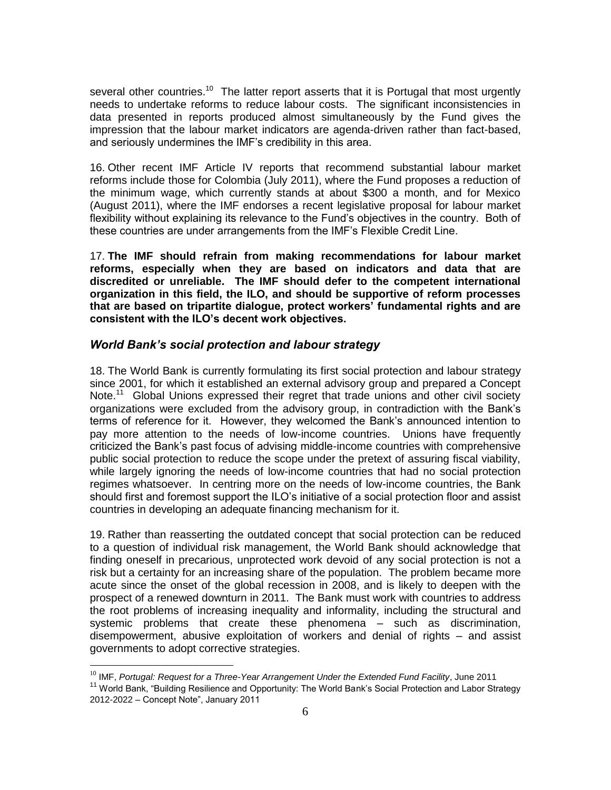several other countries.<sup>10</sup> The latter report asserts that it is Portugal that most urgently needs to undertake reforms to reduce labour costs. The significant inconsistencies in data presented in reports produced almost simultaneously by the Fund gives the impression that the labour market indicators are agenda-driven rather than fact-based, and seriously undermines the IMF's credibility in this area.

16. Other recent IMF Article IV reports that recommend substantial labour market reforms include those for Colombia (July 2011), where the Fund proposes a reduction of the minimum wage, which currently stands at about \$300 a month, and for Mexico (August 2011), where the IMF endorses a recent legislative proposal for labour market flexibility without explaining its relevance to the Fund's objectives in the country. Both of these countries are under arrangements from the IMF's Flexible Credit Line.

17. **The IMF should refrain from making recommendations for labour market reforms, especially when they are based on indicators and data that are discredited or unreliable. The IMF should defer to the competent international organization in this field, the ILO, and should be supportive of reform processes that are based on tripartite dialogue, protect workers' fundamental rights and are consistent with the ILO's decent work objectives.**

#### *World Bank's social protection and labour strategy*

18. The World Bank is currently formulating its first social protection and labour strategy since 2001, for which it established an external advisory group and prepared a Concept Note.<sup>11</sup> Global Unions expressed their regret that trade unions and other civil society organizations were excluded from the advisory group, in contradiction with the Bank's terms of reference for it. However, they welcomed the Bank's announced intention to pay more attention to the needs of low-income countries. Unions have frequently criticized the Bank's past focus of advising middle-income countries with comprehensive public social protection to reduce the scope under the pretext of assuring fiscal viability, while largely ignoring the needs of low-income countries that had no social protection regimes whatsoever. In centring more on the needs of low-income countries, the Bank should first and foremost support the ILO's initiative of a social protection floor and assist countries in developing an adequate financing mechanism for it.

19. Rather than reasserting the outdated concept that social protection can be reduced to a question of individual risk management, the World Bank should acknowledge that finding oneself in precarious, unprotected work devoid of any social protection is not a risk but a certainty for an increasing share of the population. The problem became more acute since the onset of the global recession in 2008, and is likely to deepen with the prospect of a renewed downturn in 2011. The Bank must work with countries to address the root problems of increasing inequality and informality, including the structural and systemic problems that create these phenomena – such as discrimination, disempowerment, abusive exploitation of workers and denial of rights – and assist governments to adopt corrective strategies.

<sup>10</sup> IMF, *Portugal: Request for a Three-Year Arrangement Under the Extended Fund Facility*, June 2011

<sup>&</sup>lt;sup>11</sup> World Bank, "Building Resilience and Opportunity: The World Bank's Social Protection and Labor Strategy 2012-2022 – Concept Note", January 2011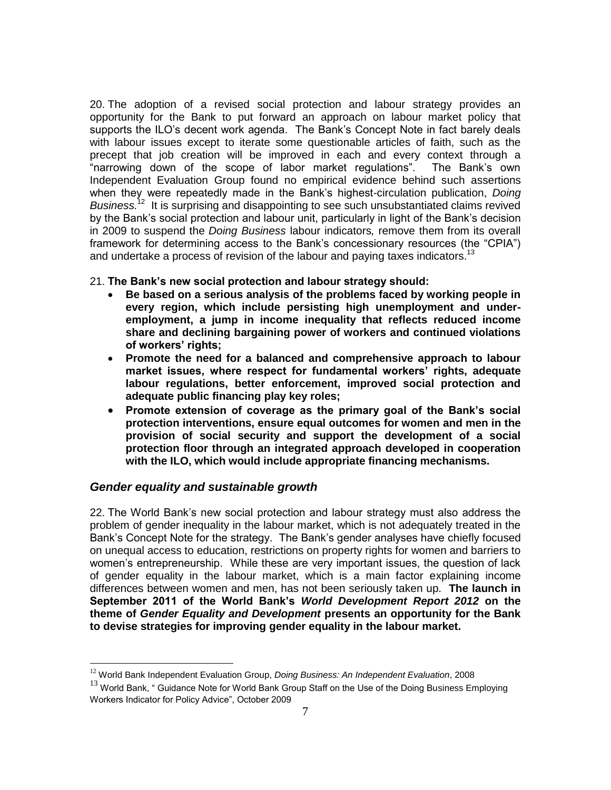20. The adoption of a revised social protection and labour strategy provides an opportunity for the Bank to put forward an approach on labour market policy that supports the ILO's decent work agenda. The Bank's Concept Note in fact barely deals with labour issues except to iterate some questionable articles of faith, such as the precept that job creation will be improved in each and every context through a "narrowing down of the scope of labor market regulations". The Bank's own Independent Evaluation Group found no empirical evidence behind such assertions when they were repeatedly made in the Bank's highest-circulation publication, *Doing*  Business.<sup>12</sup> It is surprising and disappointing to see such unsubstantiated claims revived by the Bank's social protection and labour unit, particularly in light of the Bank's decision in 2009 to suspend the *Doing Business* labour indicators*,* remove them from its overall framework for determining access to the Bank's concessionary resources (the "CPIA") and undertake a process of revision of the labour and paying taxes indicators.<sup>13</sup>

#### 21. **The Bank's new social protection and labour strategy should:**

- **Be based on a serious analysis of the problems faced by working people in every region, which include persisting high unemployment and underemployment, a jump in income inequality that reflects reduced income share and declining bargaining power of workers and continued violations of workers' rights;**
- **Promote the need for a balanced and comprehensive approach to labour market issues, where respect for fundamental workers' rights, adequate labour regulations, better enforcement, improved social protection and adequate public financing play key roles;**
- **Promote extension of coverage as the primary goal of the Bank's social protection interventions, ensure equal outcomes for women and men in the provision of social security and support the development of a social protection floor through an integrated approach developed in cooperation with the ILO, which would include appropriate financing mechanisms.**

#### *Gender equality and sustainable growth*

 $\overline{a}$ 

22. The World Bank's new social protection and labour strategy must also address the problem of gender inequality in the labour market, which is not adequately treated in the Bank's Concept Note for the strategy. The Bank's gender analyses have chiefly focused on unequal access to education, restrictions on property rights for women and barriers to women's entrepreneurship. While these are very important issues, the question of lack of gender equality in the labour market, which is a main factor explaining income differences between women and men, has not been seriously taken up. **The launch in September 2011 of the World Bank's** *World Development Report 2012* **on the theme of** *Gender Equality and Development* **presents an opportunity for the Bank to devise strategies for improving gender equality in the labour market.**

<sup>12</sup> World Bank Independent Evaluation Group, *Doing Business: An Independent Evaluation*, 2008

 $13$  World Bank, " Guidance Note for World Bank Group Staff on the Use of the Doing Business Employing Workers Indicator for Policy Advice", October 2009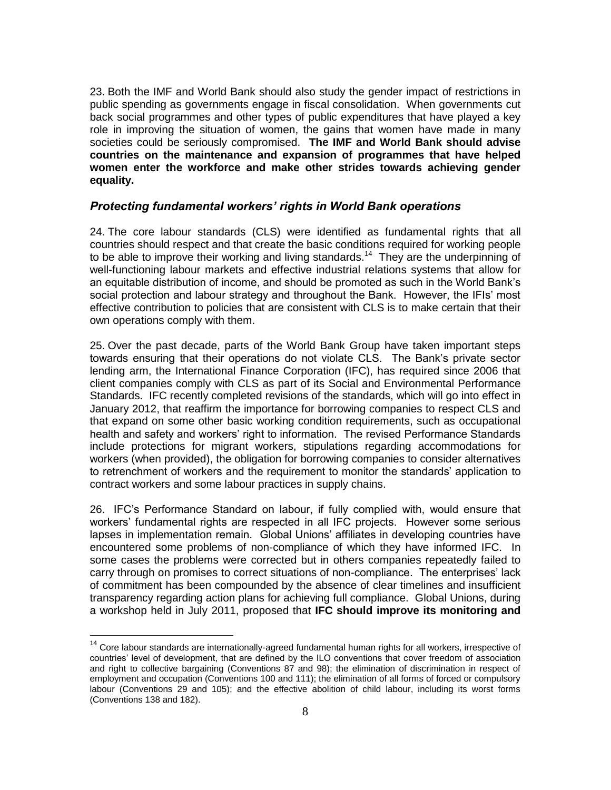23. Both the IMF and World Bank should also study the gender impact of restrictions in public spending as governments engage in fiscal consolidation. When governments cut back social programmes and other types of public expenditures that have played a key role in improving the situation of women, the gains that women have made in many societies could be seriously compromised. **The IMF and World Bank should advise countries on the maintenance and expansion of programmes that have helped women enter the workforce and make other strides towards achieving gender equality.**

#### *Protecting fundamental workers' rights in World Bank operations*

24. The core labour standards (CLS) were identified as fundamental rights that all countries should respect and that create the basic conditions required for working people to be able to improve their working and living standards.<sup>14</sup> They are the underpinning of well-functioning labour markets and effective industrial relations systems that allow for an equitable distribution of income, and should be promoted as such in the World Bank's social protection and labour strategy and throughout the Bank. However, the IFIs' most effective contribution to policies that are consistent with CLS is to make certain that their own operations comply with them.

25. Over the past decade, parts of the World Bank Group have taken important steps towards ensuring that their operations do not violate CLS. The Bank's private sector lending arm, the International Finance Corporation (IFC), has required since 2006 that client companies comply with CLS as part of its Social and Environmental Performance Standards. IFC recently completed revisions of the standards, which will go into effect in January 2012, that reaffirm the importance for borrowing companies to respect CLS and that expand on some other basic working condition requirements, such as occupational health and safety and workers' right to information. The revised Performance Standards include protections for migrant workers, stipulations regarding accommodations for workers (when provided), the obligation for borrowing companies to consider alternatives to retrenchment of workers and the requirement to monitor the standards' application to contract workers and some labour practices in supply chains.

26. IFC's Performance Standard on labour, if fully complied with, would ensure that workers' fundamental rights are respected in all IFC projects. However some serious lapses in implementation remain. Global Unions' affiliates in developing countries have encountered some problems of non-compliance of which they have informed IFC. In some cases the problems were corrected but in others companies repeatedly failed to carry through on promises to correct situations of non-compliance. The enterprises' lack of commitment has been compounded by the absence of clear timelines and insufficient transparency regarding action plans for achieving full compliance. Global Unions, during a workshop held in July 2011, proposed that **IFC should improve its monitoring and** 

<sup>&</sup>lt;sup>14</sup> Core labour standards are internationally-agreed fundamental human rights for all workers, irrespective of countries' level of development, that are defined by the ILO conventions that cover freedom of association and right to collective bargaining (Conventions 87 and 98); the elimination of discrimination in respect of employment and occupation (Conventions 100 and 111); the elimination of all forms of forced or compulsory labour (Conventions 29 and 105); and the effective abolition of child labour, including its worst forms (Conventions 138 and 182).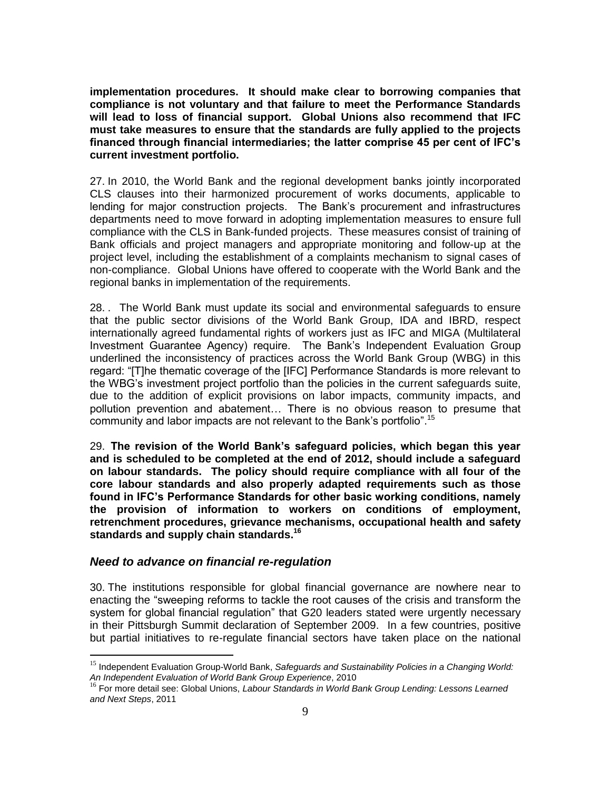**implementation procedures. It should make clear to borrowing companies that compliance is not voluntary and that failure to meet the Performance Standards will lead to loss of financial support. Global Unions also recommend that IFC must take measures to ensure that the standards are fully applied to the projects financed through financial intermediaries; the latter comprise 45 per cent of IFC's current investment portfolio.**

27. In 2010, the World Bank and the regional development banks jointly incorporated CLS clauses into their harmonized procurement of works documents, applicable to lending for major construction projects. The Bank's procurement and infrastructures departments need to move forward in adopting implementation measures to ensure full compliance with the CLS in Bank-funded projects. These measures consist of training of Bank officials and project managers and appropriate monitoring and follow-up at the project level, including the establishment of a complaints mechanism to signal cases of non-compliance. Global Unions have offered to cooperate with the World Bank and the regional banks in implementation of the requirements.

28. . The World Bank must update its social and environmental safeguards to ensure that the public sector divisions of the World Bank Group, IDA and IBRD, respect internationally agreed fundamental rights of workers just as IFC and MIGA (Multilateral Investment Guarantee Agency) require. The Bank's Independent Evaluation Group underlined the inconsistency of practices across the World Bank Group (WBG) in this regard: "[T]he thematic coverage of the [IFC] Performance Standards is more relevant to the WBG's investment project portfolio than the policies in the current safeguards suite, due to the addition of explicit provisions on labor impacts, community impacts, and pollution prevention and abatement… There is no obvious reason to presume that community and labor impacts are not relevant to the Bank's portfolio".<sup>15</sup>

29. **The revision of the World Bank's safeguard policies, which began this year and is scheduled to be completed at the end of 2012, should include a safeguard on labour standards. The policy should require compliance with all four of the core labour standards and also properly adapted requirements such as those found in IFC's Performance Standards for other basic working conditions, namely the provision of information to workers on conditions of employment, retrenchment procedures, grievance mechanisms, occupational health and safety standards and supply chain standards.<sup>16</sup>**

#### *Need to advance on financial re-regulation*

 $\overline{a}$ 

30. The institutions responsible for global financial governance are nowhere near to enacting the "sweeping reforms to tackle the root causes of the crisis and transform the system for global financial regulation" that G20 leaders stated were urgently necessary in their Pittsburgh Summit declaration of September 2009. In a few countries, positive but partial initiatives to re-regulate financial sectors have taken place on the national

<sup>&</sup>lt;sup>15</sup> Independent Evaluation Group-World Bank, Safeguards and Sustainability Policies in a Changing World: *An Independent Evaluation of World Bank Group Experience*, 2010

<sup>16</sup> For more detail see: Global Unions, *Labour Standards in World Bank Group Lending: Lessons Learned and Next Steps*, 2011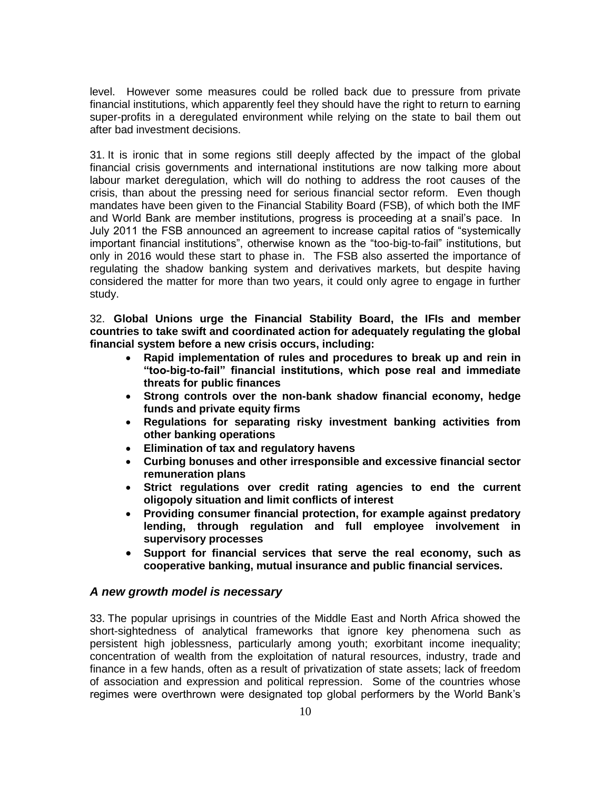level. However some measures could be rolled back due to pressure from private financial institutions, which apparently feel they should have the right to return to earning super-profits in a deregulated environment while relying on the state to bail them out after bad investment decisions.

31. It is ironic that in some regions still deeply affected by the impact of the global financial crisis governments and international institutions are now talking more about labour market deregulation, which will do nothing to address the root causes of the crisis, than about the pressing need for serious financial sector reform. Even though mandates have been given to the Financial Stability Board (FSB), of which both the IMF and World Bank are member institutions, progress is proceeding at a snail's pace. In July 2011 the FSB announced an agreement to increase capital ratios of "systemically important financial institutions", otherwise known as the "too-big-to-fail" institutions, but only in 2016 would these start to phase in. The FSB also asserted the importance of regulating the shadow banking system and derivatives markets, but despite having considered the matter for more than two years, it could only agree to engage in further study.

32. **Global Unions urge the Financial Stability Board, the IFIs and member countries to take swift and coordinated action for adequately regulating the global financial system before a new crisis occurs, including:**

- **Rapid implementation of rules and procedures to break up and rein in "too-big-to-fail" financial institutions, which pose real and immediate threats for public finances**
- **Strong controls over the non-bank shadow financial economy, hedge funds and private equity firms**
- **Regulations for separating risky investment banking activities from other banking operations**
- **Elimination of tax and regulatory havens**
- **Curbing bonuses and other irresponsible and excessive financial sector remuneration plans**
- **Strict regulations over credit rating agencies to end the current oligopoly situation and limit conflicts of interest**
- **Providing consumer financial protection, for example against predatory lending, through regulation and full employee involvement in supervisory processes**
- **Support for financial services that serve the real economy, such as cooperative banking, mutual insurance and public financial services.**

#### *A new growth model is necessary*

33. The popular uprisings in countries of the Middle East and North Africa showed the short-sightedness of analytical frameworks that ignore key phenomena such as persistent high joblessness, particularly among youth; exorbitant income inequality; concentration of wealth from the exploitation of natural resources, industry, trade and finance in a few hands, often as a result of privatization of state assets; lack of freedom of association and expression and political repression. Some of the countries whose regimes were overthrown were designated top global performers by the World Bank's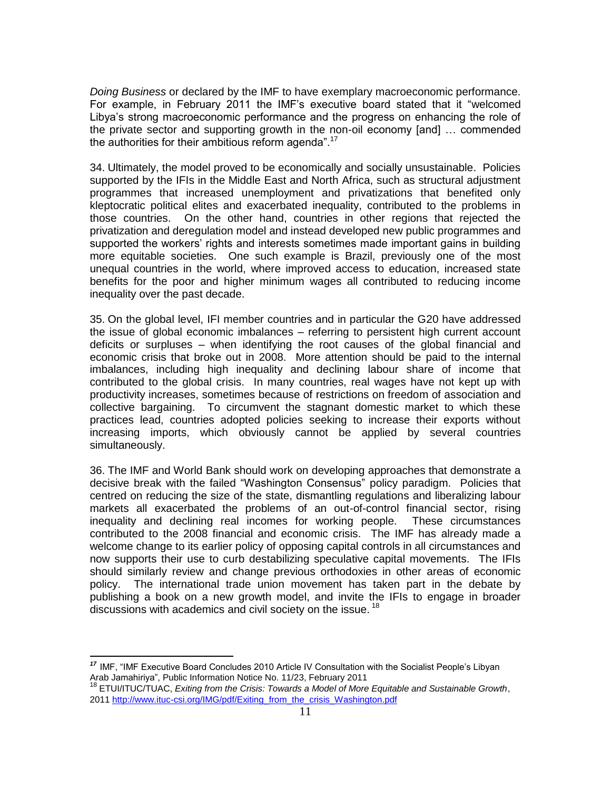*Doing Business* or declared by the IMF to have exemplary macroeconomic performance. For example, in February 2011 the IMF's executive board stated that it "welcomed Libya's strong macroeconomic performance and the progress on enhancing the role of the private sector and supporting growth in the non-oil economy [and] … commended the authorities for their ambitious reform agenda".<sup>17</sup>

34. Ultimately, the model proved to be economically and socially unsustainable. Policies supported by the IFIs in the Middle East and North Africa, such as structural adjustment programmes that increased unemployment and privatizations that benefited only kleptocratic political elites and exacerbated inequality, contributed to the problems in those countries. On the other hand, countries in other regions that rejected the privatization and deregulation model and instead developed new public programmes and supported the workers' rights and interests sometimes made important gains in building more equitable societies. One such example is Brazil, previously one of the most unequal countries in the world, where improved access to education, increased state benefits for the poor and higher minimum wages all contributed to reducing income inequality over the past decade.

35. On the global level, IFI member countries and in particular the G20 have addressed the issue of global economic imbalances – referring to persistent high current account deficits or surpluses – when identifying the root causes of the global financial and economic crisis that broke out in 2008. More attention should be paid to the internal imbalances, including high inequality and declining labour share of income that contributed to the global crisis. In many countries, real wages have not kept up with productivity increases, sometimes because of restrictions on freedom of association and collective bargaining. To circumvent the stagnant domestic market to which these practices lead, countries adopted policies seeking to increase their exports without increasing imports, which obviously cannot be applied by several countries simultaneously.

36. The IMF and World Bank should work on developing approaches that demonstrate a decisive break with the failed "Washington Consensus" policy paradigm. Policies that centred on reducing the size of the state, dismantling regulations and liberalizing labour markets all exacerbated the problems of an out-of-control financial sector, rising inequality and declining real incomes for working people. These circumstances contributed to the 2008 financial and economic crisis. The IMF has already made a welcome change to its earlier policy of opposing capital controls in all circumstances and now supports their use to curb destabilizing speculative capital movements. The IFIs should similarly review and change previous orthodoxies in other areas of economic policy. The international trade union movement has taken part in the debate by publishing a book on a new growth model, and invite the IFIs to engage in broader discussions with academics and civil society on the issue.<sup>18</sup>

<sup>&</sup>lt;sup>17</sup> IMF, "IMF Executive Board Concludes 2010 Article IV Consultation with the Socialist People's Libyan Arab Jamahiriya", Public Information Notice No. 11/23, February 2011

<sup>18</sup> ETUI/ITUC/TUAC, *Exiting from the Crisis: Towards a Model of More Equitable and Sustainable Growth*, 201[1 http://www.ituc-csi.org/IMG/pdf/Exiting\\_from\\_the\\_crisis\\_Washington.pdf](http://www.ituc-csi.org/IMG/pdf/Exiting_from_the_crisis_Washington.pdf)